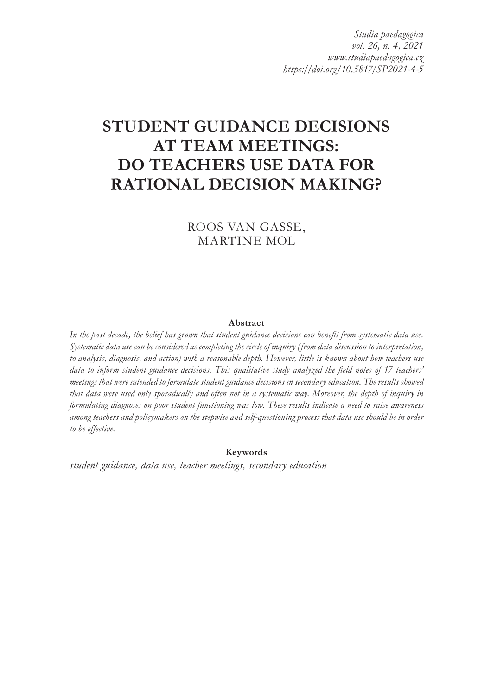*Studia paedagogica vol. 26, n. 4, 2021 www.studiapaedagogica.cz https://doi.org/10.5817/SP2021-4-5*

# **STUDENT GUIDANCE DECISIONS AT TEAM MEETINGS: DO TEACHERS USE DATA FOR RATIONAL DECISION MAKING?**

ROOS VAN GASSE, MARTINE MOL

#### **Abstract**

In the past decade, the belief has grown that student guidance decisions can benefit from systematic data use. *Systematic data use can be considered as completing the circle of inquiry (from data discussion to interpretation, to analysis, diagnosis, and action) with a reasonable depth. However, little is known about how teachers use data to inform student guidance decisions. This qualitative study analyzed the field notes of 17 teachers' meetings that were intended to formulate student guidance decisions in secondary education. The results showed that data were used only sporadically and often not in a systematic way. Moreover, the depth of inquiry in formulating diagnoses on poor student functioning was low. These results indicate a need to raise awareness among teachers and policymakers on the stepwise and self-questioning process that data use should be in order to be effective.*

**Keywords**

*student guidance, data use, teacher meetings, secondary education*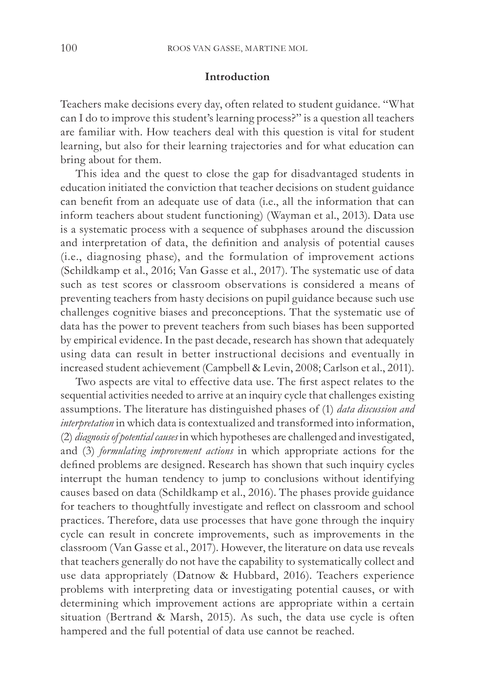## **Introduction**

Teachers make decisions every day, often related to student guidance. "What can I do to improve this student's learning process?" is a question all teachers are familiar with. How teachers deal with this question is vital for student learning, but also for their learning trajectories and for what education can bring about for them.

This idea and the quest to close the gap for disadvantaged students in education initiated the conviction that teacher decisions on student guidance can benefit from an adequate use of data (i.e., all the information that can inform teachers about student functioning) (Wayman et al., 2013). Data use is a systematic process with a sequence of subphases around the discussion and interpretation of data, the definition and analysis of potential causes (i.e., diagnosing phase), and the formulation of improvement actions (Schildkamp et al., 2016; Van Gasse et al., 2017). The systematic use of data such as test scores or classroom observations is considered a means of preventing teachers from hasty decisions on pupil guidance because such use challenges cognitive biases and preconceptions. That the systematic use of data has the power to prevent teachers from such biases has been supported by empirical evidence. In the past decade, research has shown that adequately using data can result in better instructional decisions and eventually in increased student achievement (Campbell & Levin, 2008; Carlson et al., 2011).

Two aspects are vital to effective data use. The first aspect relates to the sequential activities needed to arrive at an inquiry cycle that challenges existing assumptions. The literature has distinguished phases of (1) *data discussion and interpretation* in which data is contextualized and transformed into information, (2) *diagnosis of potential causes* in which hypotheses are challenged and investigated, and (3) *formulating improvement actions* in which appropriate actions for the defined problems are designed. Research has shown that such inquiry cycles interrupt the human tendency to jump to conclusions without identifying causes based on data (Schildkamp et al., 2016). The phases provide guidance for teachers to thoughtfully investigate and reflect on classroom and school practices. Therefore, data use processes that have gone through the inquiry cycle can result in concrete improvements, such as improvements in the classroom (Van Gasse et al., 2017). However, the literature on data use reveals that teachers generally do not have the capability to systematically collect and use data appropriately (Datnow & Hubbard, 2016). Teachers experience problems with interpreting data or investigating potential causes, or with determining which improvement actions are appropriate within a certain situation (Bertrand & Marsh, 2015). As such, the data use cycle is often hampered and the full potential of data use cannot be reached.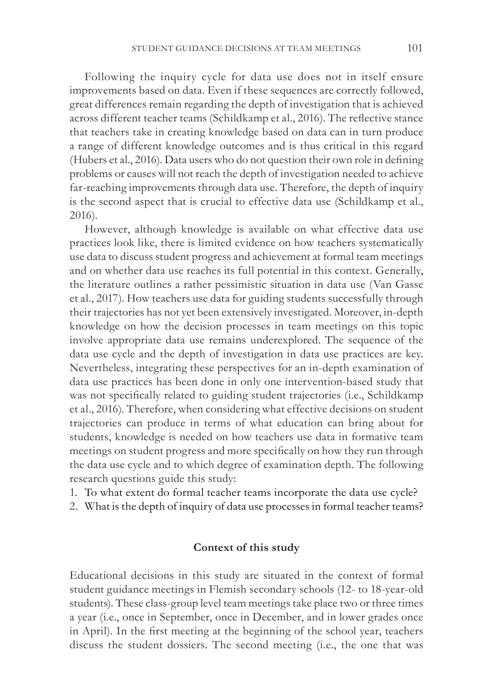Following the inquiry cycle for data use does not in itself ensure improvements based on data. Even if these sequences are correctly followed, great differences remain regarding the depth of investigation that is achieved across different teacher teams (Schildkamp et al., 2016). The reflective stance that teachers take in creating knowledge based on data can in turn produce a range of different knowledge outcomes and is thus critical in this regard (Hubers et al., 2016). Data users who do not question their own role in defining problems or causes will not reach the depth of investigation needed to achieve far-reaching improvements through data use. Therefore, the depth of inquiry is the second aspect that is crucial to effective data use (Schildkamp et al., 2016).

However, although knowledge is available on what effective data use practices look like, there is limited evidence on how teachers systematically use data to discuss student progress and achievement at formal team meetings and on whether data use reaches its full potential in this context. Generally, the literature outlines a rather pessimistic situation in data use (Van Gasse et al., 2017). How teachers use data for guiding students successfully through their trajectories has not yet been extensively investigated. Moreover, in-depth knowledge on how the decision processes in team meetings on this topic involve appropriate data use remains underexplored. The sequence of the data use cycle and the depth of investigation in data use practices are key. Nevertheless, integrating these perspectives for an in-depth examination of data use practices has been done in only one intervention-based study that was not specifically related to guiding student trajectories (i.e., Schildkamp et al., 2016). Therefore, when considering what effective decisions on student trajectories can produce in terms of what education can bring about for students, knowledge is needed on how teachers use data in formative team meetings on student progress and more specifically on how they run through the data use cycle and to which degree of examination depth. The following research questions guide this study:

- 1. To what extent do formal teacher teams incorporate the data use cycle?
- 2. What is the depth of inquiry of data use processes in formal teacher teams?

# **Context of this study**

Educational decisions in this study are situated in the context of formal student guidance meetings in Flemish secondary schools (12- to 18-year-old students). These class-group level team meetings take place two or three times a year (i.e., once in September, once in December, and in lower grades once in April). In the first meeting at the beginning of the school year, teachers discuss the student dossiers. The second meeting (i.e., the one that was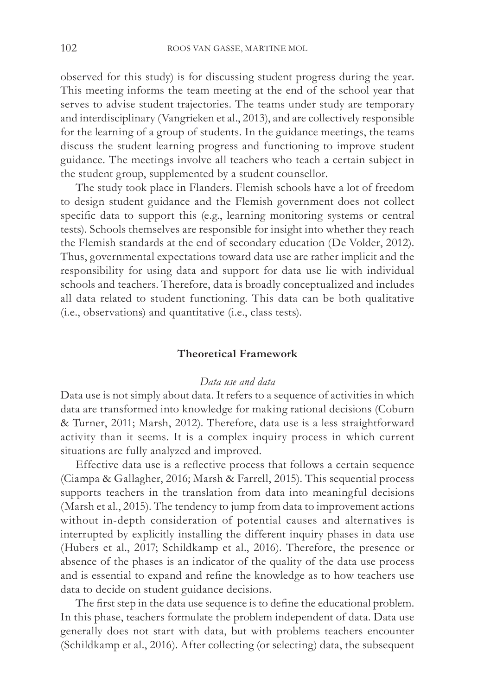observed for this study) is for discussing student progress during the year. This meeting informs the team meeting at the end of the school year that serves to advise student trajectories. The teams under study are temporary and interdisciplinary (Vangrieken et al., 2013), and are collectively responsible for the learning of a group of students. In the guidance meetings, the teams discuss the student learning progress and functioning to improve student guidance. The meetings involve all teachers who teach a certain subject in the student group, supplemented by a student counsellor.

The study took place in Flanders. Flemish schools have a lot of freedom to design student guidance and the Flemish government does not collect specific data to support this (e.g., learning monitoring systems or central tests). Schools themselves are responsible for insight into whether they reach the Flemish standards at the end of secondary education (De Volder, 2012). Thus, governmental expectations toward data use are rather implicit and the responsibility for using data and support for data use lie with individual schools and teachers. Therefore, data is broadly conceptualized and includes all data related to student functioning. This data can be both qualitative (i.e., observations) and quantitative (i.e., class tests).

# **Theoretical Framework**

# *Data use and data*

Data use is not simply about data. It refers to a sequence of activities in which data are transformed into knowledge for making rational decisions (Coburn & Turner, 2011; Marsh, 2012). Therefore, data use is a less straightforward activity than it seems. It is a complex inquiry process in which current situations are fully analyzed and improved.

Effective data use is a reflective process that follows a certain sequence (Ciampa & Gallagher, 2016; Marsh & Farrell, 2015). This sequential process supports teachers in the translation from data into meaningful decisions (Marsh et al., 2015). The tendency to jump from data to improvement actions without in-depth consideration of potential causes and alternatives is interrupted by explicitly installing the different inquiry phases in data use (Hubers et al., 2017; Schildkamp et al., 2016). Therefore, the presence or absence of the phases is an indicator of the quality of the data use process and is essential to expand and refine the knowledge as to how teachers use data to decide on student guidance decisions.

The first step in the data use sequence is to define the educational problem. In this phase, teachers formulate the problem independent of data. Data use generally does not start with data, but with problems teachers encounter (Schildkamp et al., 2016). After collecting (or selecting) data, the subsequent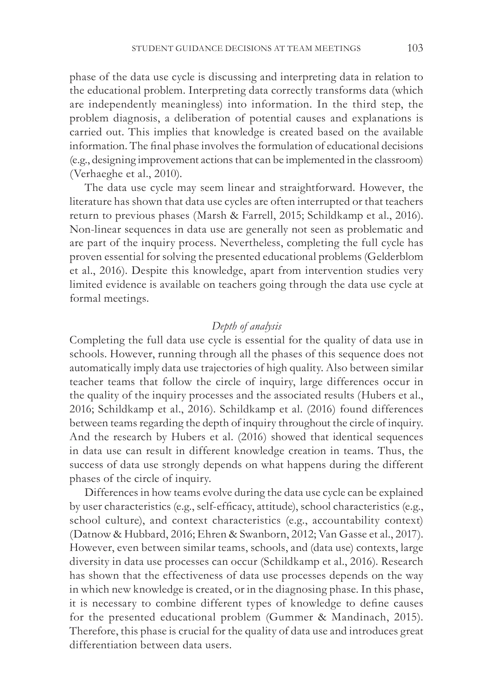phase of the data use cycle is discussing and interpreting data in relation to the educational problem. Interpreting data correctly transforms data (which are independently meaningless) into information. In the third step, the problem diagnosis, a deliberation of potential causes and explanations is carried out. This implies that knowledge is created based on the available information. The final phase involves the formulation of educational decisions (e.g., designing improvement actions that can be implemented in the classroom) (Verhaeghe et al., 2010).

The data use cycle may seem linear and straightforward. However, the literature has shown that data use cycles are often interrupted or that teachers return to previous phases (Marsh & Farrell, 2015; Schildkamp et al., 2016). Non-linear sequences in data use are generally not seen as problematic and are part of the inquiry process. Nevertheless, completing the full cycle has proven essential for solving the presented educational problems (Gelderblom et al., 2016). Despite this knowledge, apart from intervention studies very limited evidence is available on teachers going through the data use cycle at formal meetings.

## *Depth of analysis*

Completing the full data use cycle is essential for the quality of data use in schools. However, running through all the phases of this sequence does not automatically imply data use trajectories of high quality. Also between similar teacher teams that follow the circle of inquiry, large differences occur in the quality of the inquiry processes and the associated results (Hubers et al., 2016; Schildkamp et al., 2016). Schildkamp et al. (2016) found differences between teams regarding the depth of inquiry throughout the circle of inquiry. And the research by Hubers et al. (2016) showed that identical sequences in data use can result in different knowledge creation in teams. Thus, the success of data use strongly depends on what happens during the different phases of the circle of inquiry.

Differences in how teams evolve during the data use cycle can be explained by user characteristics (e.g., self-efficacy, attitude), school characteristics (e.g., school culture), and context characteristics (e.g., accountability context) (Datnow & Hubbard, 2016; Ehren & Swanborn, 2012; Van Gasse et al., 2017). However, even between similar teams, schools, and (data use) contexts, large diversity in data use processes can occur (Schildkamp et al., 2016). Research has shown that the effectiveness of data use processes depends on the way in which new knowledge is created, or in the diagnosing phase. In this phase, it is necessary to combine different types of knowledge to define causes for the presented educational problem (Gummer & Mandinach, 2015). Therefore, this phase is crucial for the quality of data use and introduces great differentiation between data users.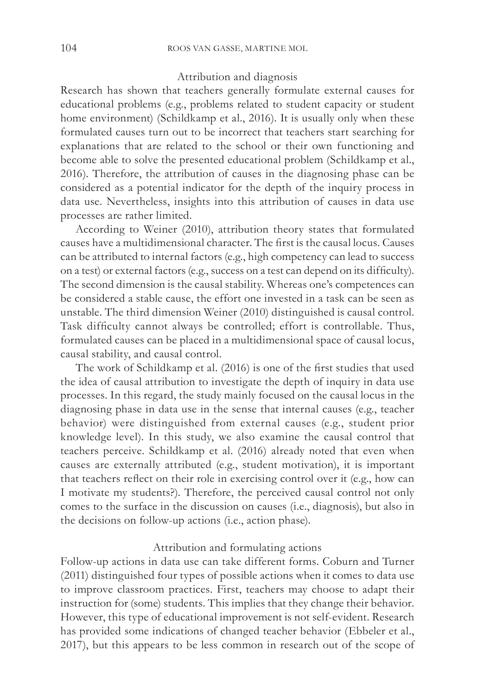## Attribution and diagnosis

Research has shown that teachers generally formulate external causes for educational problems (e.g., problems related to student capacity or student home environment) (Schildkamp et al., 2016). It is usually only when these formulated causes turn out to be incorrect that teachers start searching for explanations that are related to the school or their own functioning and become able to solve the presented educational problem (Schildkamp et al., 2016). Therefore, the attribution of causes in the diagnosing phase can be considered as a potential indicator for the depth of the inquiry process in data use. Nevertheless, insights into this attribution of causes in data use processes are rather limited.

According to Weiner (2010), attribution theory states that formulated causes have a multidimensional character. The first is the causal locus. Causes can be attributed to internal factors (e.g., high competency can lead to success on a test) or external factors (e.g., success on a test can depend on its difficulty). The second dimension is the causal stability. Whereas one's competences can be considered a stable cause, the effort one invested in a task can be seen as unstable. The third dimension Weiner (2010) distinguished is causal control. Task difficulty cannot always be controlled; effort is controllable. Thus, formulated causes can be placed in a multidimensional space of causal locus, causal stability, and causal control.

The work of Schildkamp et al. (2016) is one of the first studies that used the idea of causal attribution to investigate the depth of inquiry in data use processes. In this regard, the study mainly focused on the causal locus in the diagnosing phase in data use in the sense that internal causes (e.g., teacher behavior) were distinguished from external causes (e.g., student prior knowledge level). In this study, we also examine the causal control that teachers perceive. Schildkamp et al. (2016) already noted that even when causes are externally attributed (e.g., student motivation), it is important that teachers reflect on their role in exercising control over it (e.g., how can I motivate my students?). Therefore, the perceived causal control not only comes to the surface in the discussion on causes (i.e., diagnosis), but also in the decisions on follow-up actions (i.e., action phase).

# Attribution and formulating actions

Follow-up actions in data use can take different forms. Coburn and Turner (2011) distinguished four types of possible actions when it comes to data use to improve classroom practices. First, teachers may choose to adapt their instruction for (some) students. This implies that they change their behavior. However, this type of educational improvement is not self-evident. Research has provided some indications of changed teacher behavior (Ebbeler et al., 2017), but this appears to be less common in research out of the scope of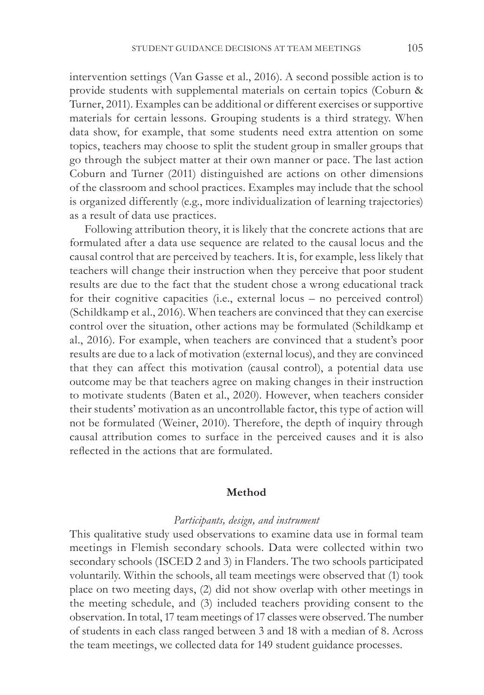intervention settings (Van Gasse et al., 2016). A second possible action is to provide students with supplemental materials on certain topics (Coburn & Turner, 2011). Examples can be additional or different exercises or supportive materials for certain lessons. Grouping students is a third strategy. When data show, for example, that some students need extra attention on some topics, teachers may choose to split the student group in smaller groups that go through the subject matter at their own manner or pace. The last action Coburn and Turner (2011) distinguished are actions on other dimensions of the classroom and school practices. Examples may include that the school is organized differently (e.g., more individualization of learning trajectories) as a result of data use practices.

Following attribution theory, it is likely that the concrete actions that are formulated after a data use sequence are related to the causal locus and the causal control that are perceived by teachers. It is, for example, less likely that teachers will change their instruction when they perceive that poor student results are due to the fact that the student chose a wrong educational track for their cognitive capacities (i.e., external locus – no perceived control) (Schildkamp et al., 2016). When teachers are convinced that they can exercise control over the situation, other actions may be formulated (Schildkamp et al., 2016). For example, when teachers are convinced that a student's poor results are due to a lack of motivation (external locus), and they are convinced that they can affect this motivation (causal control), a potential data use outcome may be that teachers agree on making changes in their instruction to motivate students (Baten et al., 2020). However, when teachers consider their students' motivation as an uncontrollable factor, this type of action will not be formulated (Weiner, 2010). Therefore, the depth of inquiry through causal attribution comes to surface in the perceived causes and it is also reflected in the actions that are formulated.

## **Method**

# *Participants, design, and instrument*

This qualitative study used observations to examine data use in formal team meetings in Flemish secondary schools. Data were collected within two secondary schools (ISCED 2 and 3) in Flanders. The two schools participated voluntarily. Within the schools, all team meetings were observed that (1) took place on two meeting days, (2) did not show overlap with other meetings in the meeting schedule, and (3) included teachers providing consent to the observation. In total, 17 team meetings of 17 classes were observed. The number of students in each class ranged between 3 and 18 with a median of 8. Across the team meetings, we collected data for 149 student guidance processes.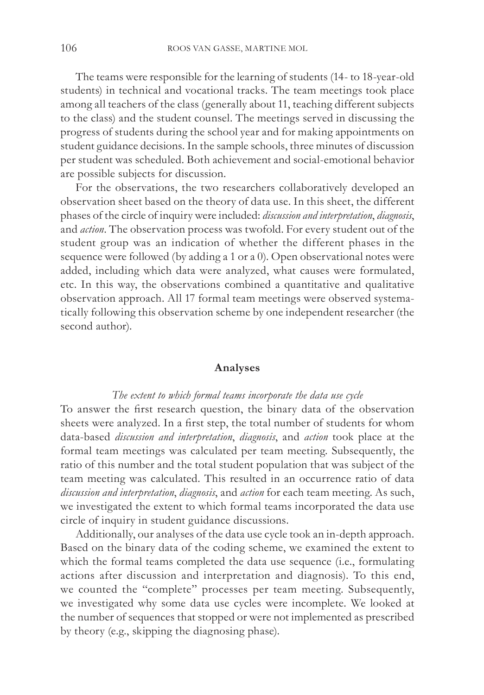The teams were responsible for the learning of students (14- to 18-year-old students) in technical and vocational tracks. The team meetings took place among all teachers of the class (generally about 11, teaching different subjects to the class) and the student counsel. The meetings served in discussing the progress of students during the school year and for making appointments on student guidance decisions. In the sample schools, three minutes of discussion per student was scheduled. Both achievement and social-emotional behavior are possible subjects for discussion.

For the observations, the two researchers collaboratively developed an observation sheet based on the theory of data use. In this sheet, the different phases of the circle of inquiry were included: *discussion and interpretation*, *diagnosis*, and *action*. The observation process was twofold. For every student out of the student group was an indication of whether the different phases in the sequence were followed (by adding a 1 or a 0). Open observational notes were added, including which data were analyzed, what causes were formulated, etc. In this way, the observations combined a quantitative and qualitative observation approach. All 17 formal team meetings were observed systematically following this observation scheme by one independent researcher (the second author).

#### **Analyses**

#### *The extent to which formal teams incorporate the data use cycle*

To answer the first research question, the binary data of the observation sheets were analyzed. In a first step, the total number of students for whom data-based *discussion and interpretation*, *diagnosis*, and *action* took place at the formal team meetings was calculated per team meeting. Subsequently, the ratio of this number and the total student population that was subject of the team meeting was calculated. This resulted in an occurrence ratio of data *discussion and interpretation*, *diagnosis*, and *action* for each team meeting. As such, we investigated the extent to which formal teams incorporated the data use circle of inquiry in student guidance discussions.

Additionally, our analyses of the data use cycle took an in-depth approach. Based on the binary data of the coding scheme, we examined the extent to which the formal teams completed the data use sequence (i.e., formulating actions after discussion and interpretation and diagnosis). To this end, we counted the "complete" processes per team meeting. Subsequently, we investigated why some data use cycles were incomplete. We looked at the number of sequences that stopped or were not implemented as prescribed by theory (e.g., skipping the diagnosing phase).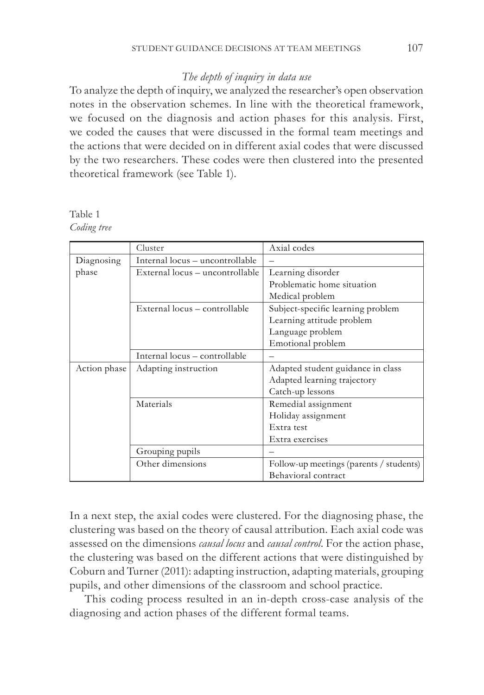# *The depth of inquiry in data use*

To analyze the depth of inquiry, we analyzed the researcher's open observation notes in the observation schemes. In line with the theoretical framework, we focused on the diagnosis and action phases for this analysis. First, we coded the causes that were discussed in the formal team meetings and the actions that were decided on in different axial codes that were discussed by the two researchers. These codes were then clustered into the presented theoretical framework (see Table 1).

Table 1 *Coding tree*

|              | Cluster                         | Axial codes                             |  |
|--------------|---------------------------------|-----------------------------------------|--|
| Diagnosing   | Internal locus - uncontrollable |                                         |  |
| phase        | External locus – uncontrollable | Learning disorder                       |  |
|              |                                 | Problematic home situation              |  |
|              |                                 | Medical problem                         |  |
|              | External locus - controllable   | Subject-specific learning problem       |  |
|              |                                 | Learning attitude problem               |  |
|              |                                 | Language problem                        |  |
|              |                                 | Emotional problem                       |  |
|              | Internal locus - controllable   |                                         |  |
| Action phase | Adapting instruction            | Adapted student guidance in class       |  |
|              |                                 | Adapted learning trajectory             |  |
|              |                                 | Catch-up lessons                        |  |
|              | Materials                       | Remedial assignment                     |  |
|              |                                 | Holiday assignment                      |  |
|              |                                 | Extra test                              |  |
|              |                                 | Extra exercises                         |  |
|              | Grouping pupils                 |                                         |  |
|              | Other dimensions                | Follow-up meetings (parents / students) |  |
|              |                                 | Behavioral contract                     |  |

In a next step, the axial codes were clustered. For the diagnosing phase, the clustering was based on the theory of causal attribution. Each axial code was assessed on the dimensions *causal locus* and *causal control*. For the action phase, the clustering was based on the different actions that were distinguished by Coburn and Turner (2011): adapting instruction, adapting materials, grouping pupils, and other dimensions of the classroom and school practice.

This coding process resulted in an in-depth cross-case analysis of the diagnosing and action phases of the different formal teams.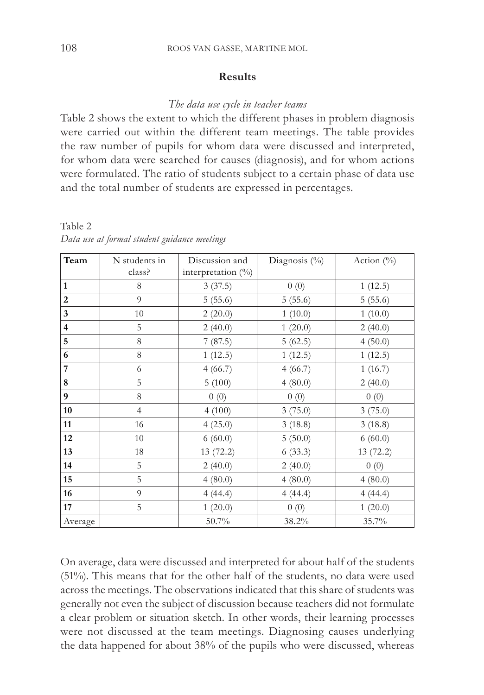# **Results**

## *The data use cycle in teacher teams*

Table 2 shows the extent to which the different phases in problem diagnosis were carried out within the different team meetings. The table provides the raw number of pupils for whom data were discussed and interpreted, for whom data were searched for causes (diagnosis), and for whom actions were formulated. The ratio of students subject to a certain phase of data use and the total number of students are expressed in percentages.

| Team                    | N students in  | Discussion and     | Diagnosis $(\% )$ | Action $(\% )$ |
|-------------------------|----------------|--------------------|-------------------|----------------|
|                         | class?         | interpretation (%) |                   |                |
| 1                       | 8              | 3(37.5)            | 0(0)              | 1(12.5)        |
| $\overline{2}$          | $\overline{Q}$ | 5(55.6)            | 5(55.6)           | 5(55.6)        |
| 3                       | 10             | 2(20.0)            | 1(10.0)           | 1(10.0)        |
| $\overline{\mathbf{4}}$ | 5              | 2(40.0)            | 1(20.0)           | 2(40.0)        |
| 5                       | 8              | 7(87.5)            | 5(62.5)           | 4(50.0)        |
| 6                       | 8              | 1(12.5)            | 1(12.5)           | 1(12.5)        |
| 7                       | 6              | 4(66.7)            | 4(66.7)           | 1(16.7)        |
| 8                       | 5              | 5(100)             | 4(80.0)           | 2(40.0)        |
| 9                       | 8              | 0(0)               | 0(0)              | 0(0)           |
| 10                      | $\overline{4}$ | 4(100)             | 3(75.0)           | 3(75.0)        |
| 11                      | 16             | 4(25.0)            | 3(18.8)           | 3(18.8)        |
| 12                      | 10             | 6(60.0)            | 5(50.0)           | 6(60.0)        |
| 13                      | 18             | 13(72.2)           | 6(33.3)           | 13 (72.2)      |
| 14                      | 5              | 2(40.0)            | 2(40.0)           | 0(0)           |
| 15                      | 5              | 4(80.0)            | 4(80.0)           | 4(80.0)        |
| 16                      | 9              | 4(44.4)            | 4(44.4)           | 4(44.4)        |
| 17                      | 5              | 1(20.0)            | 0(0)              | 1(20.0)        |
| Average                 |                | 50.7%              | 38.2%             | 35.7%          |

Table 2 *Data use at formal student guidance meetings*

On average, data were discussed and interpreted for about half of the students (51%). This means that for the other half of the students, no data were used across the meetings. The observations indicated that this share of students was generally not even the subject of discussion because teachers did not formulate a clear problem or situation sketch. In other words, their learning processes were not discussed at the team meetings. Diagnosing causes underlying the data happened for about 38% of the pupils who were discussed, whereas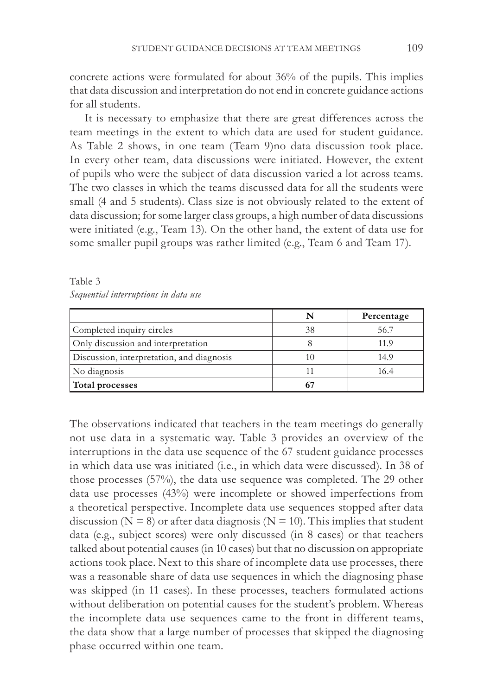concrete actions were formulated for about 36% of the pupils. This implies that data discussion and interpretation do not end in concrete guidance actions for all students.

It is necessary to emphasize that there are great differences across the team meetings in the extent to which data are used for student guidance. As Table 2 shows, in one team (Team 9)no data discussion took place. In every other team, data discussions were initiated. However, the extent of pupils who were the subject of data discussion varied a lot across teams. The two classes in which the teams discussed data for all the students were small (4 and 5 students). Class size is not obviously related to the extent of data discussion; for some larger class groups, a high number of data discussions were initiated (e.g., Team 13). On the other hand, the extent of data use for some smaller pupil groups was rather limited (e.g., Team 6 and Team 17).

Table 3 *Sequential interruptions in data use*

|                                           | N  | Percentage |
|-------------------------------------------|----|------------|
| Completed inquiry circles                 | 38 | 56.7       |
| Only discussion and interpretation        |    | 11.9       |
| Discussion, interpretation, and diagnosis | 10 | 14.9       |
| No diagnosis                              |    | 16.4       |
| Total processes                           | 67 |            |

The observations indicated that teachers in the team meetings do generally not use data in a systematic way. Table 3 provides an overview of the interruptions in the data use sequence of the 67 student guidance processes in which data use was initiated (i.e., in which data were discussed). In 38 of those processes (57%), the data use sequence was completed. The 29 other data use processes (43%) were incomplete or showed imperfections from a theoretical perspective. Incomplete data use sequences stopped after data discussion ( $N = 8$ ) or after data diagnosis ( $N = 10$ ). This implies that student data (e.g., subject scores) were only discussed (in 8 cases) or that teachers talked about potential causes (in 10 cases) but that no discussion on appropriate actions took place. Next to this share of incomplete data use processes, there was a reasonable share of data use sequences in which the diagnosing phase was skipped (in 11 cases). In these processes, teachers formulated actions without deliberation on potential causes for the student's problem. Whereas the incomplete data use sequences came to the front in different teams, the data show that a large number of processes that skipped the diagnosing phase occurred within one team.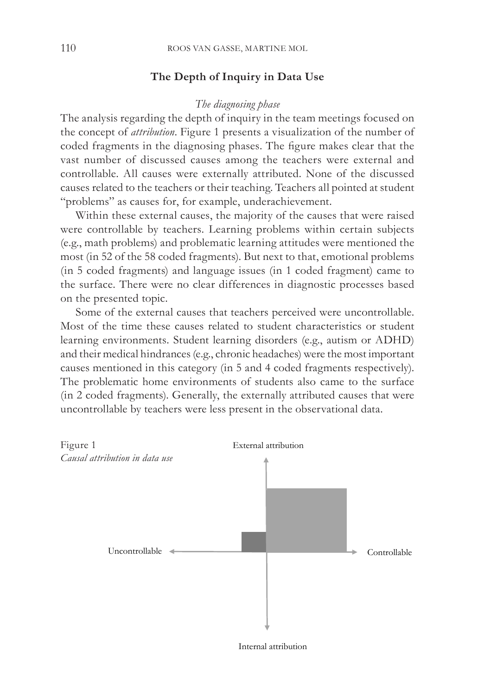# **The Depth of Inquiry in Data Use**

## *The diagnosing phase*

The analysis regarding the depth of inquiry in the team meetings focused on the concept of *attribution*. Figure 1 presents a visualization of the number of coded fragments in the diagnosing phases. The figure makes clear that the vast number of discussed causes among the teachers were external and controllable. All causes were externally attributed. None of the discussed causes related to the teachers or their teaching. Teachers all pointed at student "problems" as causes for, for example, underachievement.

Within these external causes, the majority of the causes that were raised were controllable by teachers. Learning problems within certain subjects (e.g., math problems) and problematic learning attitudes were mentioned the most (in 52 of the 58 coded fragments). But next to that, emotional problems (in 5 coded fragments) and language issues (in 1 coded fragment) came to the surface. There were no clear differences in diagnostic processes based on the presented topic.

Some of the external causes that teachers perceived were uncontrollable. Most of the time these causes related to student characteristics or student learning environments. Student learning disorders (e.g., autism or ADHD) and their medical hindrances (e.g., chronic headaches) were the most important causes mentioned in this category (in 5 and 4 coded fragments respectively). The problematic home environments of students also came to the surface (in 2 coded fragments). Generally, the externally attributed causes that were uncontrollable by teachers were less present in the observational data. *Causal attribution in data use.*



Internal attribution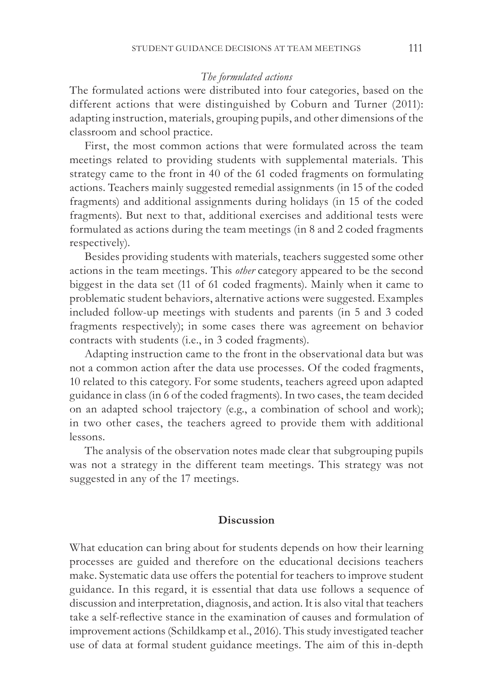## *The formulated actions*

The formulated actions were distributed into four categories, based on the different actions that were distinguished by Coburn and Turner (2011): adapting instruction, materials, grouping pupils, and other dimensions of the classroom and school practice.

First, the most common actions that were formulated across the team meetings related to providing students with supplemental materials. This strategy came to the front in 40 of the 61 coded fragments on formulating actions. Teachers mainly suggested remedial assignments (in 15 of the coded fragments) and additional assignments during holidays (in 15 of the coded fragments). But next to that, additional exercises and additional tests were formulated as actions during the team meetings (in 8 and 2 coded fragments respectively).

Besides providing students with materials, teachers suggested some other actions in the team meetings. This *other* category appeared to be the second biggest in the data set (11 of 61 coded fragments). Mainly when it came to problematic student behaviors, alternative actions were suggested. Examples included follow-up meetings with students and parents (in 5 and 3 coded fragments respectively); in some cases there was agreement on behavior contracts with students (i.e., in 3 coded fragments).

Adapting instruction came to the front in the observational data but was not a common action after the data use processes. Of the coded fragments, 10 related to this category. For some students, teachers agreed upon adapted guidance in class (in 6 of the coded fragments). In two cases, the team decided on an adapted school trajectory (e.g., a combination of school and work); in two other cases, the teachers agreed to provide them with additional lessons.

The analysis of the observation notes made clear that subgrouping pupils was not a strategy in the different team meetings. This strategy was not suggested in any of the 17 meetings.

## **Discussion**

What education can bring about for students depends on how their learning processes are guided and therefore on the educational decisions teachers make. Systematic data use offers the potential for teachers to improve student guidance. In this regard, it is essential that data use follows a sequence of discussion and interpretation, diagnosis, and action. It is also vital that teachers take a self-reflective stance in the examination of causes and formulation of improvement actions (Schildkamp et al., 2016). This study investigated teacher use of data at formal student guidance meetings. The aim of this in-depth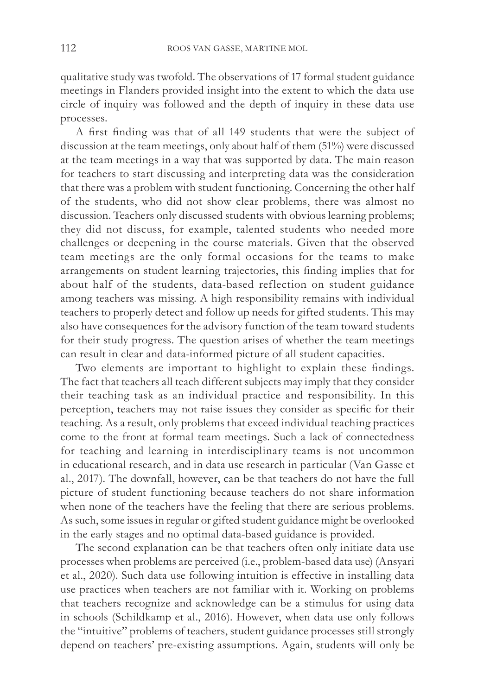qualitative study was twofold. The observations of 17 formal student guidance meetings in Flanders provided insight into the extent to which the data use circle of inquiry was followed and the depth of inquiry in these data use processes.

A first finding was that of all 149 students that were the subject of discussion at the team meetings, only about half of them (51%) were discussed at the team meetings in a way that was supported by data. The main reason for teachers to start discussing and interpreting data was the consideration that there was a problem with student functioning. Concerning the other half of the students, who did not show clear problems, there was almost no discussion. Teachers only discussed students with obvious learning problems; they did not discuss, for example, talented students who needed more challenges or deepening in the course materials. Given that the observed team meetings are the only formal occasions for the teams to make arrangements on student learning trajectories, this finding implies that for about half of the students, data-based reflection on student guidance among teachers was missing. A high responsibility remains with individual teachers to properly detect and follow up needs for gifted students. This may also have consequences for the advisory function of the team toward students for their study progress. The question arises of whether the team meetings can result in clear and data-informed picture of all student capacities.

Two elements are important to highlight to explain these findings. The fact that teachers all teach different subjects may imply that they consider their teaching task as an individual practice and responsibility. In this perception, teachers may not raise issues they consider as specific for their teaching. As a result, only problems that exceed individual teaching practices come to the front at formal team meetings. Such a lack of connectedness for teaching and learning in interdisciplinary teams is not uncommon in educational research, and in data use research in particular (Van Gasse et al., 2017). The downfall, however, can be that teachers do not have the full picture of student functioning because teachers do not share information when none of the teachers have the feeling that there are serious problems. As such, some issues in regular or gifted student guidance might be overlooked in the early stages and no optimal data-based guidance is provided.

The second explanation can be that teachers often only initiate data use processes when problems are perceived (i.e., problem-based data use) (Ansyari et al., 2020). Such data use following intuition is effective in installing data use practices when teachers are not familiar with it. Working on problems that teachers recognize and acknowledge can be a stimulus for using data in schools (Schildkamp et al., 2016). However, when data use only follows the "intuitive" problems of teachers, student guidance processes still strongly depend on teachers' pre-existing assumptions. Again, students will only be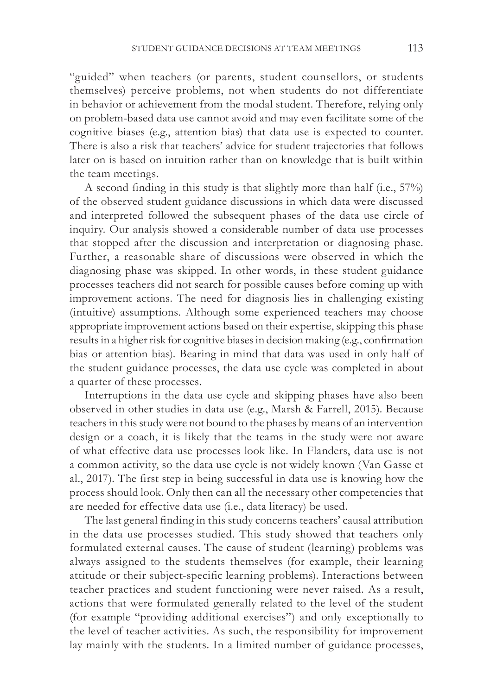"guided" when teachers (or parents, student counsellors, or students themselves) perceive problems, not when students do not differentiate in behavior or achievement from the modal student. Therefore, relying only on problem-based data use cannot avoid and may even facilitate some of the cognitive biases (e.g., attention bias) that data use is expected to counter. There is also a risk that teachers' advice for student trajectories that follows later on is based on intuition rather than on knowledge that is built within the team meetings.

A second finding in this study is that slightly more than half (i.e., 57%) of the observed student guidance discussions in which data were discussed and interpreted followed the subsequent phases of the data use circle of inquiry. Our analysis showed a considerable number of data use processes that stopped after the discussion and interpretation or diagnosing phase. Further, a reasonable share of discussions were observed in which the diagnosing phase was skipped. In other words, in these student guidance processes teachers did not search for possible causes before coming up with improvement actions. The need for diagnosis lies in challenging existing (intuitive) assumptions. Although some experienced teachers may choose appropriate improvement actions based on their expertise, skipping this phase results in a higher risk for cognitive biases in decision making (e.g., confirmation bias or attention bias). Bearing in mind that data was used in only half of the student guidance processes, the data use cycle was completed in about a quarter of these processes.

Interruptions in the data use cycle and skipping phases have also been observed in other studies in data use (e.g., Marsh & Farrell, 2015). Because teachers in this study were not bound to the phases by means of an intervention design or a coach, it is likely that the teams in the study were not aware of what effective data use processes look like. In Flanders, data use is not a common activity, so the data use cycle is not widely known (Van Gasse et al., 2017). The first step in being successful in data use is knowing how the process should look. Only then can all the necessary other competencies that are needed for effective data use (i.e., data literacy) be used.

The last general finding in this study concerns teachers' causal attribution in the data use processes studied. This study showed that teachers only formulated external causes. The cause of student (learning) problems was always assigned to the students themselves (for example, their learning attitude or their subject-specific learning problems). Interactions between teacher practices and student functioning were never raised. As a result, actions that were formulated generally related to the level of the student (for example "providing additional exercises") and only exceptionally to the level of teacher activities. As such, the responsibility for improvement lay mainly with the students. In a limited number of guidance processes,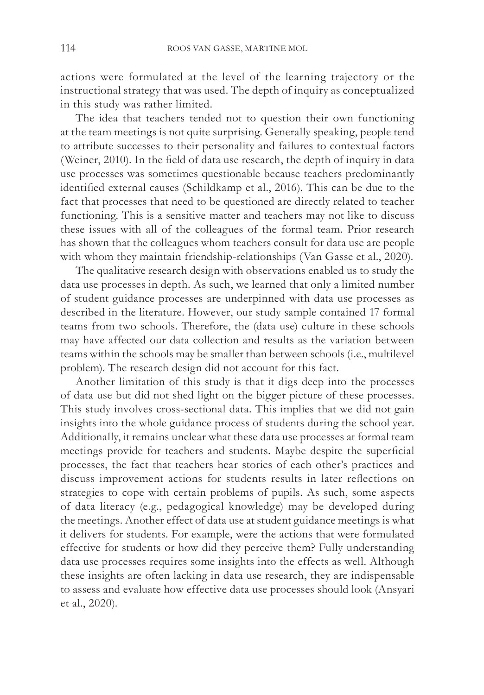actions were formulated at the level of the learning trajectory or the instructional strategy that was used. The depth of inquiry as conceptualized in this study was rather limited.

The idea that teachers tended not to question their own functioning at the team meetings is not quite surprising. Generally speaking, people tend to attribute successes to their personality and failures to contextual factors (Weiner, 2010). In the field of data use research, the depth of inquiry in data use processes was sometimes questionable because teachers predominantly identified external causes (Schildkamp et al., 2016). This can be due to the fact that processes that need to be questioned are directly related to teacher functioning. This is a sensitive matter and teachers may not like to discuss these issues with all of the colleagues of the formal team. Prior research has shown that the colleagues whom teachers consult for data use are people with whom they maintain friendship-relationships (Van Gasse et al., 2020).

The qualitative research design with observations enabled us to study the data use processes in depth. As such, we learned that only a limited number of student guidance processes are underpinned with data use processes as described in the literature. However, our study sample contained 17 formal teams from two schools. Therefore, the (data use) culture in these schools may have affected our data collection and results as the variation between teams within the schools may be smaller than between schools (i.e., multilevel problem). The research design did not account for this fact.

Another limitation of this study is that it digs deep into the processes of data use but did not shed light on the bigger picture of these processes. This study involves cross-sectional data. This implies that we did not gain insights into the whole guidance process of students during the school year. Additionally, it remains unclear what these data use processes at formal team meetings provide for teachers and students. Maybe despite the superficial processes, the fact that teachers hear stories of each other's practices and discuss improvement actions for students results in later reflections on strategies to cope with certain problems of pupils. As such, some aspects of data literacy (e.g., pedagogical knowledge) may be developed during the meetings. Another effect of data use at student guidance meetings is what it delivers for students. For example, were the actions that were formulated effective for students or how did they perceive them? Fully understanding data use processes requires some insights into the effects as well. Although these insights are often lacking in data use research, they are indispensable to assess and evaluate how effective data use processes should look (Ansyari et al., 2020).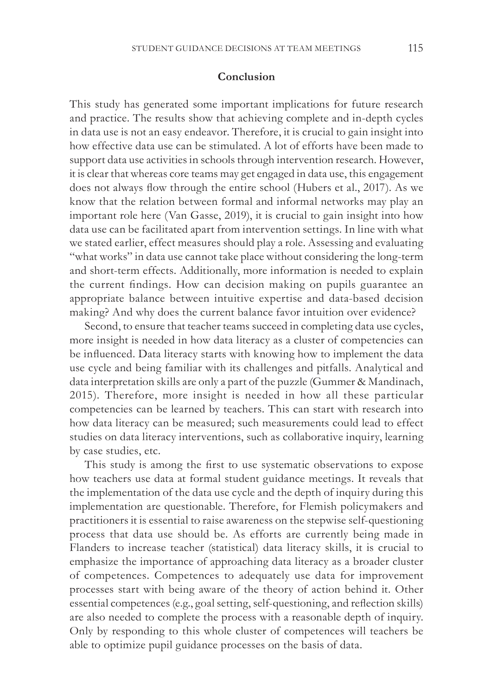## **Conclusion**

This study has generated some important implications for future research and practice. The results show that achieving complete and in-depth cycles in data use is not an easy endeavor. Therefore, it is crucial to gain insight into how effective data use can be stimulated. A lot of efforts have been made to support data use activities in schools through intervention research. However, it is clear that whereas core teams may get engaged in data use, this engagement does not always flow through the entire school (Hubers et al., 2017). As we know that the relation between formal and informal networks may play an important role here (Van Gasse, 2019), it is crucial to gain insight into how data use can be facilitated apart from intervention settings. In line with what we stated earlier, effect measures should play a role. Assessing and evaluating "what works" in data use cannot take place without considering the long-term and short-term effects. Additionally, more information is needed to explain the current findings. How can decision making on pupils guarantee an appropriate balance between intuitive expertise and data-based decision making? And why does the current balance favor intuition over evidence?

Second, to ensure that teacher teams succeed in completing data use cycles, more insight is needed in how data literacy as a cluster of competencies can be influenced. Data literacy starts with knowing how to implement the data use cycle and being familiar with its challenges and pitfalls. Analytical and data interpretation skills are only a part of the puzzle (Gummer & Mandinach, 2015). Therefore, more insight is needed in how all these particular competencies can be learned by teachers. This can start with research into how data literacy can be measured; such measurements could lead to effect studies on data literacy interventions, such as collaborative inquiry, learning by case studies, etc.

This study is among the first to use systematic observations to expose how teachers use data at formal student guidance meetings. It reveals that the implementation of the data use cycle and the depth of inquiry during this implementation are questionable. Therefore, for Flemish policymakers and practitioners it is essential to raise awareness on the stepwise self-questioning process that data use should be. As efforts are currently being made in Flanders to increase teacher (statistical) data literacy skills, it is crucial to emphasize the importance of approaching data literacy as a broader cluster of competences. Competences to adequately use data for improvement processes start with being aware of the theory of action behind it. Other essential competences (e.g., goal setting, self-questioning, and reflection skills) are also needed to complete the process with a reasonable depth of inquiry. Only by responding to this whole cluster of competences will teachers be able to optimize pupil guidance processes on the basis of data.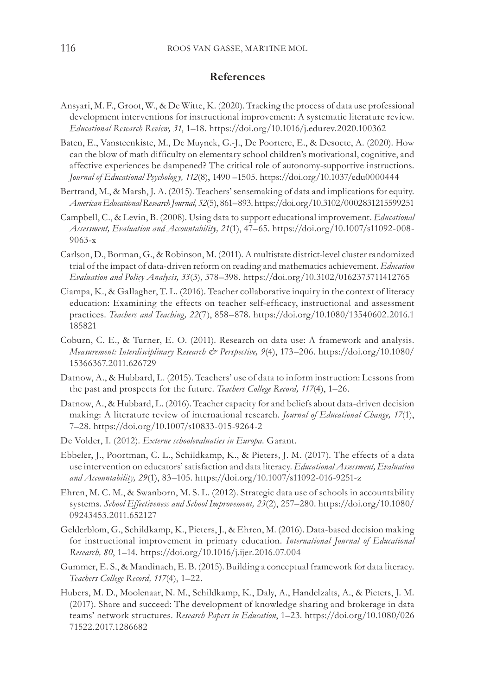## **References**

- Ansyari, M. F., Groot, W., & De Witte, K. (2020). Tracking the process of data use professional development interventions for instructional improvement: A systematic literature review. *Educational Research Review, 31*, 1–18. https://doi.org/10.1016/j.edurev.2020.100362
- Baten, E., Vansteenkiste, M., De Muynck, G.-J., De Poortere, E., & Desoete, A. (2020). How can the blow of math difficulty on elementary school children's motivational, cognitive, and affective experiences be dampened? The critical role of autonomy-supportive instructions. *Journal of Educational Psycholog y, 112*(8), 1490 –1505. https://doi.org/10.1037/edu0000444
- Bertrand, M., & Marsh, J. A. (2015). Teachers' sensemaking of data and implications for equity. *American Educational Research Journal, 52*(5), 861–893. https://doi.org/10.3102/0002831215599251
- Campbell, C., & Levin, B. (2008). Using data to support educational improvement. *Educational Assessment, Evaluation and Accountability, 21*(1), 47–65. https://doi.org/10.1007/s11092-008- 9063-x
- Carlson, D., Borman, G., & Robinson, M. (2011). A multistate district-level cluster randomized trial of the impact of data-driven reform on reading and mathematics achievement. *Education Evaluation and Policy Analysis, 33*(3), 378–398. https://doi.org/10.3102/0162373711412765
- Ciampa, K., & Gallagher, T. L. (2016). Teacher collaborative inquiry in the context of literacy education: Examining the effects on teacher self-efficacy, instructional and assessment practices. *Teachers and Teaching, 22*(7), 858–878. https://doi.org/10.1080/13540602.2016.1 185821
- Coburn, C. E., & Turner, E. O. (2011). Research on data use: A framework and analysis. *Measurement: Interdisciplinary Research & Perspective, 9*(4), 173–206. https://doi.org/10.1080/ 15366367.2011.626729
- Datnow, A., & Hubbard, L. (2015). Teachers' use of data to inform instruction: Lessons from the past and prospects for the future. *Teachers College Record, 117*(4), 1–26.
- Datnow, A., & Hubbard, L. (2016). Teacher capacity for and beliefs about data-driven decision making: A literature review of international research. *Journal of Educational Change, 17*(1), 7–28. https://doi.org/10.1007/s10833-015-9264-2
- De Volder, I. (2012). *Externe schoolevaluaties in Europa*. Garant.
- Ebbeler, J., Poortman, C. L., Schildkamp, K., & Pieters, J. M. (2017). The effects of a data use intervention on educators' satisfaction and data literacy. *Educational Assessment, Evaluation and Accountability, 29*(1), 83–105. https://doi.org/10.1007/s11092-016-9251-z
- Ehren, M. C. M., & Swanborn, M. S. L. (2012). Strategic data use of schools in accountability systems. *School Effectiveness and School Improvement, 23*(2), 257–280. https://doi.org/10.1080/ 09243453.2011.652127
- Gelderblom, G., Schildkamp, K., Pieters, J., & Ehren, M. (2016). Data-based decision making for instructional improvement in primary education. *International Journal of Educational Research, 80*, 1–14. https://doi.org/10.1016/j.ijer.2016.07.004
- Gummer, E. S., & Mandinach, E. B. (2015). Building a conceptual framework for data literacy. *Teachers College Record, 117*(4), 1–22.
- Hubers, M. D., Moolenaar, N. M., Schildkamp, K., Daly, A., Handelzalts, A., & Pieters, J. M. (2017). Share and succeed: The development of knowledge sharing and brokerage in data teams' network structures. *Research Papers in Education*, 1–23. https://doi.org/10.1080/026 71522.2017.1286682